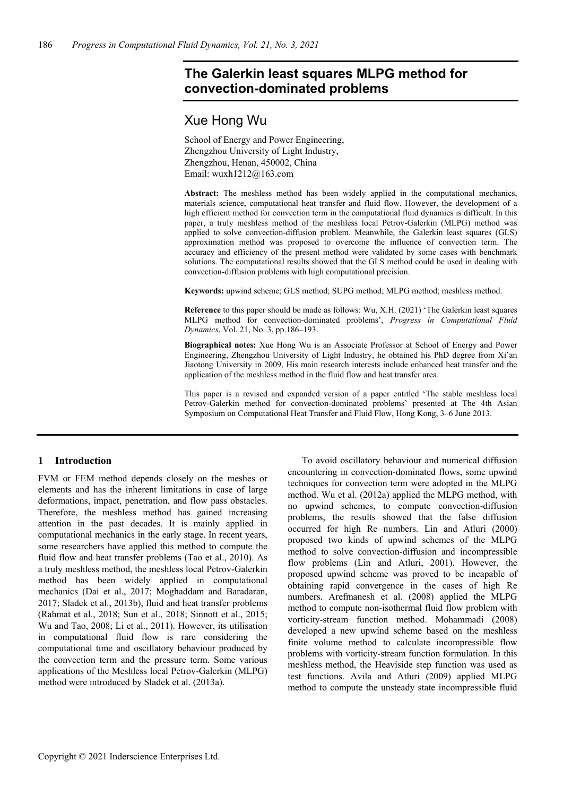# **The Galerkin least squares MLPG method for convection-dominated problems**

Xue Hong Wu

School of Energy and Power Engineering, Zhengzhou University of Light Industry, Zhengzhou, Henan, 450002, China Email: wuxh1212@163.com

**Abstract:** The meshless method has been widely applied in the computational mechanics, materials science, computational heat transfer and fluid flow. However, the development of a high efficient method for convection term in the computational fluid dynamics is difficult. In this paper, a truly meshless method of the meshless local Petrov-Galerkin (MLPG) method was applied to solve convection-diffusion problem. Meanwhile, the Galerkin least squares (GLS) approximation method was proposed to overcome the influence of convection term. The accuracy and efficiency of the present method were validated by some cases with benchmark solutions. The computational results showed that the GLS method could be used in dealing with convection-diffusion problems with high computational precision.

**Keywords:** upwind scheme; GLS method; SUPG method; MLPG method; meshless method.

**Reference** to this paper should be made as follows: Wu, X.H. (2021) 'The Galerkin least squares MLPG method for convection-dominated problems', *Progress in Computational Fluid Dynamics*, Vol. 21, No. 3, pp.186–193.

**Biographical notes:** Xue Hong Wu is an Associate Professor at School of Energy and Power Engineering, Zhengzhou University of Light Industry, he obtained his PhD degree from Xi'an Jiaotong University in 2009, His main research interests include enhanced heat transfer and the application of the meshless method in the fluid flow and heat transfer area.

This paper is a revised and expanded version of a paper entitled 'The stable meshless local Petrov-Galerkin method for convection-dominated problems' presented at The 4th Asian Symposium on Computational Heat Transfer and Fluid Flow, Hong Kong, 3–6 June 2013.

# **1 Introduction**

FVM or FEM method depends closely on the meshes or elements and has the inherent limitations in case of large deformations, impact, penetration, and flow pass obstacles. Therefore, the meshless method has gained increasing attention in the past decades. It is mainly applied in computational mechanics in the early stage. In recent years, some researchers have applied this method to compute the fluid flow and heat transfer problems (Tao et al., 2010). As a truly meshless method, the meshless local Petrov-Galerkin method has been widely applied in computational mechanics (Dai et al., 2017; Moghaddam and Baradaran, 2017; Sladek et al., 2013b), fluid and heat transfer problems (Rahmat et al., 2018; Sun et al., 2018; Sinnott et al., 2015; Wu and Tao, 2008; Li et al., 2011). However, its utilisation in computational fluid flow is rare considering the computational time and oscillatory behaviour produced by the convection term and the pressure term. Some various applications of the Meshless local Petrov-Galerkin (MLPG) method were introduced by Sladek et al. (2013a).

To avoid oscillatory behaviour and numerical diffusion encountering in convection-dominated flows, some upwind techniques for convection term were adopted in the MLPG method. Wu et al. (2012a) applied the MLPG method, with no upwind schemes, to compute convection-diffusion problems, the results showed that the false diffusion occurred for high Re numbers. Lin and Atluri (2000) proposed two kinds of upwind schemes of the MLPG method to solve convection-diffusion and incompressible flow problems (Lin and Atluri, 2001). However, the proposed upwind scheme was proved to be incapable of obtaining rapid convergence in the cases of high Re numbers. Arefmanesh et al. (2008) applied the MLPG method to compute non-isothermal fluid flow problem with vorticity-stream function method. Mohammadi (2008) developed a new upwind scheme based on the meshless finite volume method to calculate incompressible flow problems with vorticity-stream function formulation. In this meshless method, the Heaviside step function was used as test functions. Avila and Atluri (2009) applied MLPG method to compute the unsteady state incompressible fluid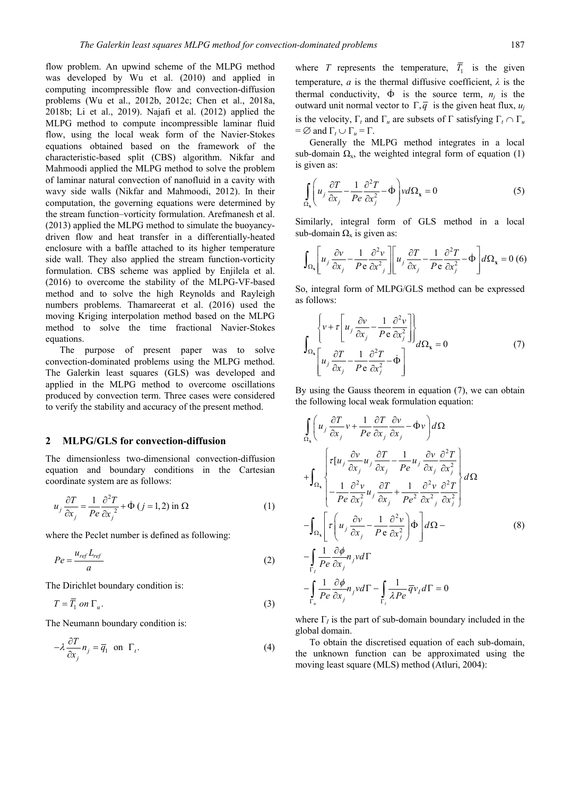flow problem. An upwind scheme of the MLPG method was developed by Wu et al. (2010) and applied in computing incompressible flow and convection-diffusion problems (Wu et al., 2012b, 2012c; Chen et al., 2018a, 2018b; Li et al., 2019). Najafi et al. (2012) applied the MLPG method to compute incompressible laminar fluid flow, using the local weak form of the Navier-Stokes equations obtained based on the framework of the characteristic-based split (CBS) algorithm. Nikfar and Mahmoodi applied the MLPG method to solve the problem of laminar natural convection of nanofluid in a cavity with wavy side walls (Nikfar and Mahmoodi, 2012). In their computation, the governing equations were determined by the stream function–vorticity formulation. Arefmanesh et al. (2013) applied the MLPG method to simulate the buoyancydriven flow and heat transfer in a differentially-heated enclosure with a baffle attached to its higher temperature side wall. They also applied the stream function-vorticity formulation. CBS scheme was applied by Enjilela et al. (2016) to overcome the stability of the MLPG-VF-based method and to solve the high Reynolds and Rayleigh numbers problems. Thamareerat et al. (2016) used the moving Kriging interpolation method based on the MLPG method to solve the time fractional Navier-Stokes equations.

The purpose of present paper was to solve convection-dominated problems using the MLPG method. The Galerkin least squares (GLS) was developed and applied in the MLPG method to overcome oscillations produced by convection term. Three cases were considered to verify the stability and accuracy of the present method.

# **2 MLPG/GLS for convection-diffusion**

The dimensionless two-dimensional convection-diffusion equation and boundary conditions in the Cartesian coordinate system are as follows:

$$
u_j \frac{\partial T}{\partial x_j} = \frac{1}{Pe} \frac{\partial^2 T}{\partial x_j^2} + \dot{\Phi} (j = 1, 2) \text{ in } \Omega
$$
 (1)

where the Peclet number is defined as following:

$$
Pe = \frac{u_{ref} L_{ref}}{a} \tag{2}
$$

The Dirichlet boundary condition is:

$$
T = \overline{T}_1 \text{ on } \Gamma_u. \tag{3}
$$

The Neumann boundary condition is:

$$
-\lambda \frac{\partial T}{\partial x_j} n_j = \overline{q}_1 \text{ on } \Gamma_t.
$$
 (4)

where *T* represents the temperature,  $\overline{T_1}$  is the given temperature, *a* is the thermal diffusive coefficient, *λ* is the thermal conductivity,  $\dot{\Phi}$  is the source term,  $n_i$  is the outward unit normal vector to  $\Gamma$ ,  $\overline{q}$  is the given heat flux,  $u_j$ is the velocity,  $\Gamma_t$  and  $\Gamma_u$  are subsets of  $\Gamma$  satisfying  $\Gamma_t \cap \Gamma_u$  $= \emptyset$  and  $\Gamma_t \cup \Gamma_u = \Gamma$ .

Generally the MLPG method integrates in a local sub-domain  $\Omega_{\gamma}$ , the weighted integral form of equation (1) is given as:

$$
\int_{\Omega_{\mathbf{x}}} \left( u_j \frac{\partial T}{\partial x_j} - \frac{1}{Pe} \frac{\partial^2 T}{\partial x_j^2} - \dot{\Phi} \right) v d\Omega_{\mathbf{x}} = 0 \tag{5}
$$

Similarly, integral form of GLS method in a local sub-domain  $\Omega$ <sub>x</sub> is given as:

$$
\int_{\Omega_{\mathbf{x}}} \left[ u_j \frac{\partial v}{\partial x_j} - \frac{1}{P \mathbf{e}} \frac{\partial^2 v}{\partial x^2_j} \right] \left[ u_j \frac{\partial T}{\partial x_j} - \frac{1}{P \mathbf{e}} \frac{\partial^2 T}{\partial x^2_j} - \dot{\Phi} \right] d\Omega_{\mathbf{x}} = 0 \tag{6}
$$

So, integral form of MLPG/GLS method can be expressed as follows:

$$
\int_{\Omega_{\mathbf{x}}} \left\{ v + \tau \left[ u_j \frac{\partial v}{\partial x_j} - \frac{1}{P e} \frac{\partial^2 v}{\partial x_j^2} \right] \right\}_{d\Omega_{\mathbf{x}} = 0}
$$
\n
$$
\left[ u_j \frac{\partial T}{\partial x_j} - \frac{1}{P e} \frac{\partial^2 T}{\partial x_j^2} - \dot{\Phi} \right]
$$
\n(7)

By using the Gauss theorem in equation (7), we can obtain the following local weak formulation equation:

$$
\int_{\Omega_{\mathbf{x}}} \left( u_{j} \frac{\partial T}{\partial x_{j}} v + \frac{1}{Pe} \frac{\partial T}{\partial x_{j}} \frac{\partial v}{\partial x_{j}} - \dot{\Phi} v \right) d\Omega
$$
\n
$$
+ \int_{\Omega_{\mathbf{x}}} \left\{ \tau \left[ u_{j} \frac{\partial v}{\partial x_{j}} u_{j} \frac{\partial T}{\partial x_{j}} - \frac{1}{Pe} u_{j} \frac{\partial v}{\partial x_{j}} \frac{\partial^{2} T}{\partial x_{j}^{2}} \right] + \int_{\Omega_{\mathbf{x}}} \left\{ - \frac{1}{Pe} \frac{\partial^{2} v}{\partial x_{j}^{2}} u_{j} \frac{\partial T}{\partial x_{j}} + \frac{1}{Pe^{2}} \frac{\partial^{2} v}{\partial x_{j}^{2}} \frac{\partial^{2} T}{\partial x_{j}^{2}} \right\} d\Omega
$$
\n
$$
- \int_{\Omega_{\mathbf{x}}} \left[ \tau \left( u_{j} \frac{\partial v}{\partial x_{j}} - \frac{1}{Pe} \frac{\partial^{2} v}{\partial x_{j}^{2}} \right) \dot{\Phi} \right] d\Omega - \int_{\Gamma_{I}} \frac{1}{Pe} \frac{\partial \phi}{\partial x_{j}} n_{j} v d\Gamma
$$
\n
$$
- \int_{\Gamma_{\mathbf{x}}} \frac{1}{Pe} \frac{\partial \phi}{\partial x_{j}} n_{j} v d\Gamma - \int_{\Gamma_{I}} \frac{1}{\lambda Pe} \overline{q} v_{I} d\Gamma = 0
$$
\n(8)

where  $\Gamma$ <sub>*I*</sub> is the part of sub-domain boundary included in the global domain.

To obtain the discretised equation of each sub-domain, the unknown function can be approximated using the moving least square (MLS) method (Atluri, 2004):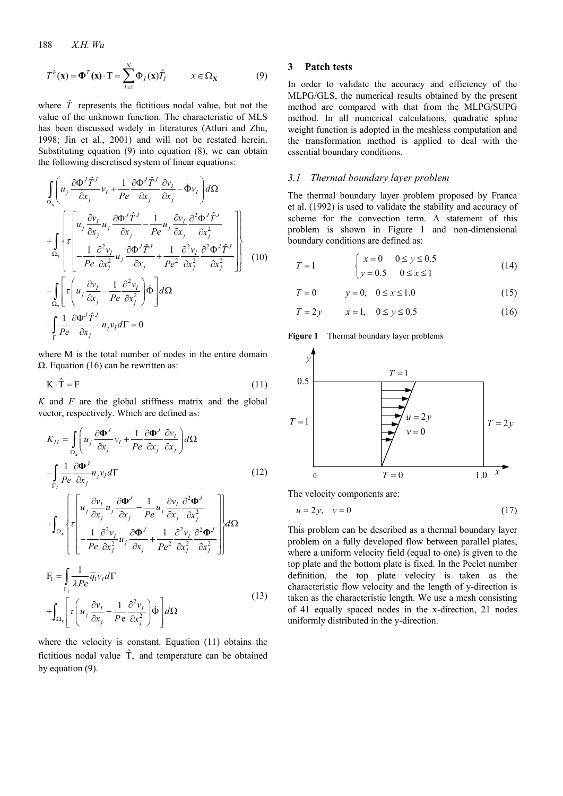188 *X.H. Wu*

$$
T^{h}(\mathbf{x}) = \mathbf{\Phi}^{T}(\mathbf{x}) \cdot \mathbf{T} = \sum_{I=1}^{N} \Phi_{I}(\mathbf{x}) \hat{T}_{I} \qquad x \in \Omega_{\mathbf{x}}
$$
(9)

where  $\hat{T}$  represents the fictitious nodal value, but not the value of the unknown function. The characteristic of MLS has been discussed widely in literatures (Atluri and Zhu, 1998; Jin et al., 2001) and will not be restated herein. Substituting equation (9) into equation (8), we can obtain the following discretised system of linear equations:

$$
\int_{\Omega_{x}} \left( u_{j} \frac{\partial \Phi^{J} \hat{T}^{J}}{\partial x_{j}} v_{I} + \frac{1}{Pe} \frac{\partial \Phi^{J} \hat{T}^{J}}{\partial x_{j}} \frac{\partial v_{I}}{\partial x_{j}} - \dot{\Phi} v_{I} \right) d\Omega
$$
\n
$$
+ \int_{\Omega_{x}} \left\{ \tau \left[ u_{j} \frac{\partial v_{I}}{\partial x_{j}} u_{j} \frac{\partial \Phi^{J} \hat{T}^{J}}{\partial x_{j}} - \frac{1}{Pe} u_{j} \frac{\partial v_{I}}{\partial x_{j}} \frac{\partial^{2} \Phi^{J} \hat{T}^{J}}{\partial x_{j}^{2}} \right] - \frac{1}{Pe} \frac{\partial^{2} v_{I}}{\partial x_{j}^{2}} u_{j} \frac{\partial \Phi^{J} \hat{T}^{J}}{\partial x_{j}} + \frac{1}{Pe^{2}} \frac{\partial^{2} v_{I}}{\partial x_{j}^{2}} \frac{\partial^{2} \Phi^{J} \hat{T}^{J}}{\partial x_{j}^{2}} \right\} \left| (10) - \int_{\Omega_{x}} \left[ \tau \left( u_{j} \frac{\partial v_{I}}{\partial x_{j}} - \frac{1}{Pe} \frac{\partial^{2} v_{I}}{\partial x_{j}^{2}} \right) \dot{\Phi} \right] d\Omega
$$
\n
$$
- \int_{\Gamma_{\Gamma}} \left[ \frac{1}{Pe} \frac{\partial \Phi^{J} \hat{T}^{J}}{\partial x_{j}} n_{j} v_{I} d\Gamma = 0 \right]
$$

where M is the total number of nodes in the entire domain Ω. Equation (16) can be rewritten as:

$$
K \cdot \hat{T} = F \tag{11}
$$

*K* and *F* are the global stiffness matrix and the global vector, respectively. Which are defined as:

$$
K_{IJ} = \int_{\Omega_{\mathbf{x}}} \left( u_j \frac{\partial \mathbf{\Phi}^J}{\partial x_j} v_I + \frac{1}{Pe} \frac{\partial \mathbf{\Phi}^J}{\partial x_j} \frac{\partial v_I}{\partial x_j} \right) d\Omega
$$
  
\n
$$
- \int_{\Gamma_I} \frac{1}{Pe} \frac{\partial \mathbf{\Phi}^J}{\partial x_j} n_j v_I d\Gamma
$$
  
\n
$$
+ \int_{\Omega_{\mathbf{x}}} \left\{ \tau \left[ u_j \frac{\partial v_I}{\partial x_j} u_j \frac{\partial \mathbf{\Phi}^J}{\partial x_j} - \frac{1}{Pe} u_j \frac{\partial v_I}{\partial x_j} \frac{\partial^2 \mathbf{\Phi}^J}{\partial x_j^2} \right] \right\} d\Omega
$$
  
\n
$$
+ \int_{\Omega_{\mathbf{x}}} \left\{ \tau \left[ -\frac{1}{Pe} \frac{\partial^2 v_I}{\partial x_j^2} u_j \frac{\partial \mathbf{\Phi}^J}{\partial x_j} + \frac{1}{Pe^2} \frac{\partial^2 v_I}{\partial x_j^2} \frac{\partial^2 \mathbf{\Phi}^J}{\partial x_j^2} \right] \right\} d\Omega
$$
  
\n
$$
F_I = \int_{\Gamma_I} \frac{1}{\lambda Pe} \overline{q}_I v_I d\Gamma
$$
  
\n
$$
+ \int_{\Omega_{\mathbf{x}}} \left[ \tau \left( u_j \frac{\partial v_I}{\partial x_j} - \frac{1}{Pe} \frac{\partial^2 v_I}{\partial x_j^2} \right) \dot{\Phi} \right] d\Omega
$$
  
\n(13)

where the velocity is constant. Equation (11) obtains the fictitious nodal value  $\hat{T}$ , and temperature can be obtained by equation (9).

## **3 Patch tests**

In order to validate the accuracy and efficiency of the MLPG/GLS, the numerical results obtained by the present method are compared with that from the MLPG/SUPG method. In all numerical calculations, quadratic spline weight function is adopted in the meshless computation and the transformation method is applied to deal with the essential boundary conditions.

### *3.1 Thermal boundary layer problem*

The thermal boundary layer problem proposed by Franca et al. (1992) is used to validate the stability and accuracy of scheme for the convection term. A statement of this problem is shown in Figure 1 and non-dimensional boundary conditions are defined as:

$$
T = 1 \qquad \begin{cases} x = 0 & 0 \le y \le 0.5 \\ y = 0.5 & 0 \le x \le 1 \end{cases} \tag{14}
$$

$$
T = 0 \t y = 0, \t 0 \le x \le 1.0 \t (15)
$$

$$
T = 2y \t x = 1, \t 0 \le y \le 0.5 \t (16)
$$

**Figure 1** Thermal boundary layer problems



The velocity components are:

$$
u = 2y, \quad v = 0 \tag{17}
$$

This problem can be described as a thermal boundary layer problem on a fully developed flow between parallel plates, where a uniform velocity field (equal to one) is given to the top plate and the bottom plate is fixed. In the Peclet number definition, the top plate velocity is taken as the characteristic flow velocity and the length of y-direction is taken as the characteristic length. We use a mesh consisting of 41 equally spaced nodes in the x-direction, 21 nodes uniformly distributed in the y-direction.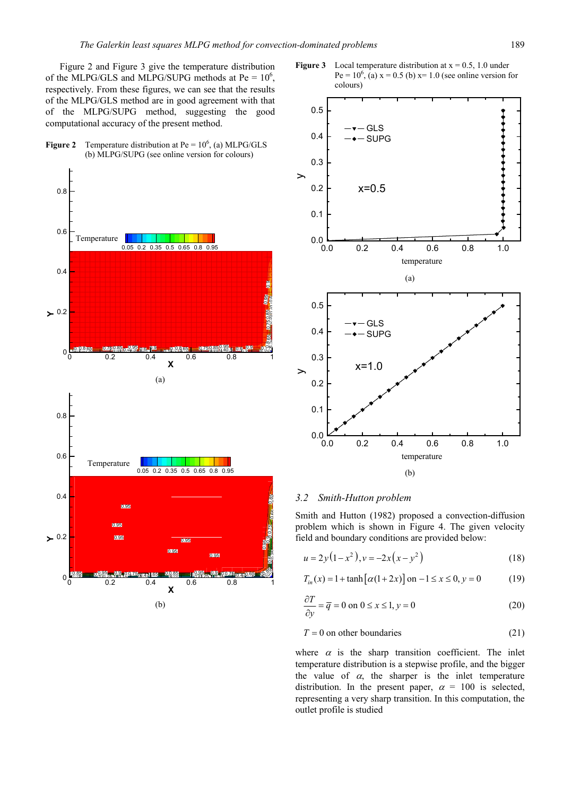Figure 2 and Figure 3 give the temperature distribution of the MLPG/GLS and MLPG/SUPG methods at  $Pe = 10^6$ , respectively. From these figures, we can see that the results of the MLPG/GLS method are in good agreement with that of the MLPG/SUPG method, suggesting the good computational accuracy of the present method.







**Figure 3** Local temperature distribution at  $x = 0.5$ , 1.0 under

#### *3.2 Smith-Hutton problem*

Smith and Hutton (1982) proposed a convection-diffusion problem which is shown in Figure 4. The given velocity field and boundary conditions are provided below:

$$
u = 2y(1 - x2), v = -2x(x - y2)
$$
 (18)

$$
T_{in}(x) = 1 + \tanh[\alpha(1+2x)] \text{ on } -1 \le x \le 0, y = 0 \tag{19}
$$

$$
\frac{\partial T}{\partial y} = \overline{q} = 0 \text{ on } 0 \le x \le 1, y = 0 \tag{20}
$$

$$
T = 0 \text{ on other boundaries} \tag{21}
$$

where  $\alpha$  is the sharp transition coefficient. The inlet temperature distribution is a stepwise profile, and the bigger the value of  $\alpha$ , the sharper is the inlet temperature distribution. In the present paper,  $\alpha = 100$  is selected, representing a very sharp transition. In this computation, the outlet profile is studied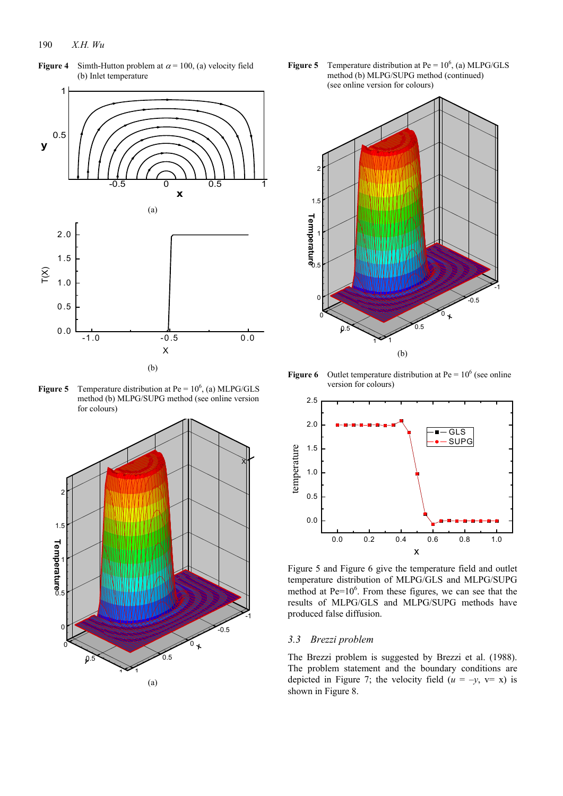

**Figure 4** Simth-Hutton problem at  $\alpha = 100$ , (a) velocity field (b) Inlet temperature

**Figure 5** Temperature distribution at  $Pe = 10^6$ , (a) MLPG/GLS method (b) MLPG/SUPG method (see online version for colours)



**Figure 5** Temperature distribution at  $Pe = 10^6$ , (a) MLPG/GLS method (b) MLPG/SUPG method (continued) (see online version for colours)



**Figure 6** Outlet temperature distribution at  $Pe = 10^6$  (see online version for colours)



Figure 5 and Figure 6 give the temperature field and outlet temperature distribution of MLPG/GLS and MLPG/SUPG method at  $Pe=10^6$ . From these figures, we can see that the results of MLPG/GLS and MLPG/SUPG methods have produced false diffusion.

#### *3.3 Brezzi problem*

The Brezzi problem is suggested by Brezzi et al. (1988). The problem statement and the boundary conditions are depicted in Figure 7; the velocity field  $(u = -y, v = x)$  is shown in Figure 8.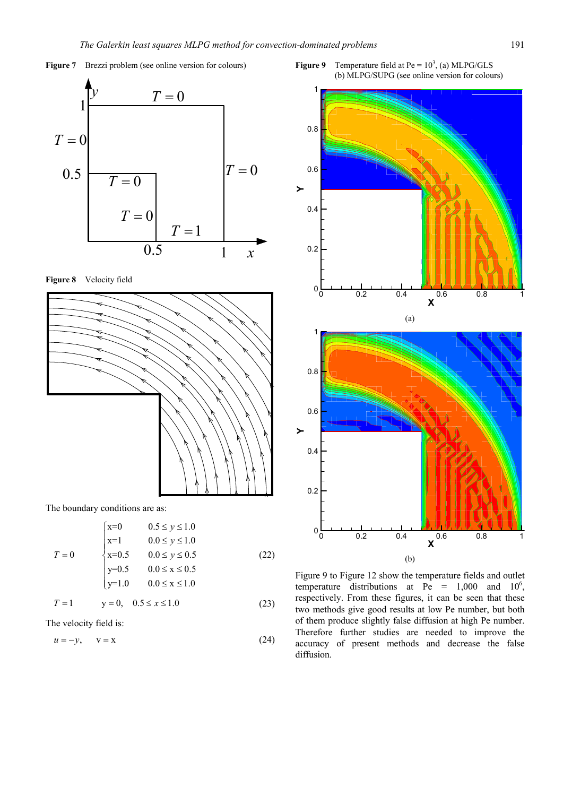



**Figure 8** Velocity field



The boundary conditions are as:

$$
T = 0
$$
\n
$$
\begin{cases}\nx=0 & 0.5 \le y \le 1.0 \\
x=1 & 0.0 \le y \le 1.0 \\
x=0.5 & 0.0 \le y \le 0.5 \\
y=0.5 & 0.0 \le x \le 0.5 \\
y=1.0 & 0.0 \le x \le 1.0\n\end{cases}
$$
\n(22)

$$
T = 1 \t y = 0, \t 0.5 \le x \le 1.0 \t (23)
$$

The velocity field is:

$$
u = -y, \qquad v = x \tag{24}
$$



**Figure 9** Temperature field at  $Pe = 10^3$ , (a) MLPG/GLS

Figure 9 to Figure 12 show the temperature fields and outlet temperature distributions at Pe =  $1,000$  and  $10^6$ , respectively. From these figures, it can be seen that these two methods give good results at low Pe number, but both of them produce slightly false diffusion at high Pe number. Therefore further studies are needed to improve the accuracy of present methods and decrease the false diffusion.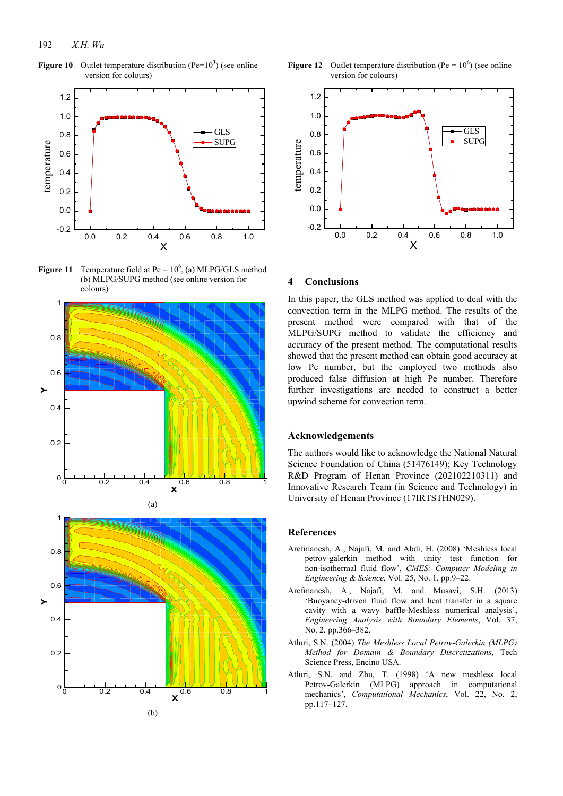

**Figure 10** Outlet temperature distribution ( $Pe=10<sup>3</sup>$ ) (see online version for colours)

**Figure 11** Temperature field at  $Pe = 10^6$ , (a) MLPG/GLS method (b) MLPG/SUPG method (see online version for colours)





**Figure 12** Outlet temperature distribution (Pe =  $10^6$ ) (see online version for colours)



#### **4 Conclusions**

In this paper, the GLS method was applied to deal with the convection term in the MLPG method. The results of the present method were compared with that of the MLPG/SUPG method to validate the efficiency and accuracy of the present method. The computational results showed that the present method can obtain good accuracy at low Pe number, but the employed two methods also produced false diffusion at high Pe number. Therefore further investigations are needed to construct a better upwind scheme for convection term.

### **Acknowledgements**

The authors would like to acknowledge the National Natural Science Foundation of China (51476149); Key Technology R&D Program of Henan Province (202102210311) and Innovative Research Team (in Science and Technology) in University of Henan Province (17IRTSTHN029).

#### **References**

- Arefmanesh, A., Najafi, M. and Abdi, H. (2008) 'Meshless local petrov-galerkin method with unity test function for non-isothermal fluid flow', *CMES: Computer Modeling in Engineering & Science*, Vol. 25, No. 1, pp.9–22.
- Arefmanesh, A., Najafi, M. and Musavi, S.H. (2013) 'Buoyancy-driven fluid flow and heat transfer in a square cavity with a wavy baffle-Meshless numerical analysis', *Engineering Analysis with Boundary Elements*, Vol. 37, No. 2, pp.366–382.
- Atluri, S.N. (2004) *The Meshless Local Petrov-Galerkin (MLPG) Method for Domain & Boundary Discretizations*, Tech Science Press, Encino USA.
- Atluri, S.N. and Zhu, T. (1998) 'A new meshless local Petrov-Galerkin (MLPG) approach in computational mechanics', *Computational Mechanics*, Vol. 22, No. 2, pp.117–127.